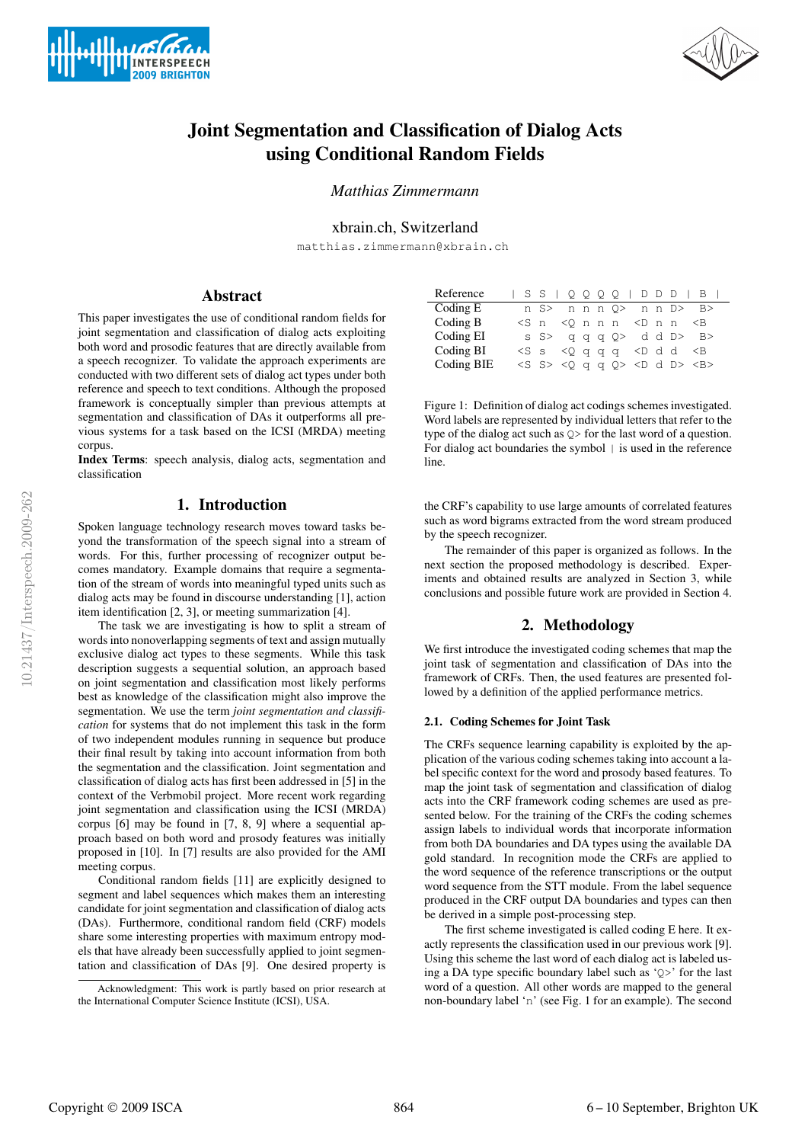



# Joint Segmentation and Classification of Dialog Acts using Conditional Random Fields

*Matthias Zimmermann*

# xbrain.ch, Switzerland

matthias.zimmermann@xbrain.ch

# Abstract

**INTERSPEECH 2009 BRIGHTON** 

This paper investigates the use of conditional random fields for joint segmentation and classification of dialog acts exploiting both word and prosodic features that are directly available from a speech recognizer. To validate the approach experiments are conducted with two different sets of dialog act types under both reference and speech to text conditions. Although the proposed framework is conceptually simpler than previous attempts at segmentation and classification of DAs it outperforms all previous systems for a task based on the ICSI (MRDA) meeting corpus.

Index Terms: speech analysis, dialog acts, segmentation and classification

# 1. Introduction

Spoken language technology research moves toward tasks beyond the transformation of the speech signal into a stream of words. For this, further processing of recognizer output becomes mandatory. Example domains that require a segmentation of the stream of words into meaningful typed units such as dialog acts may be found in discourse understanding [1], action item identification [2, 3], or meeting summarization [4].

The task we are investigating is how to split a stream of words into nonoverlapping segments of text and assign mutually exclusive dialog act types to these segments. While this task description suggests a sequential solution, an approach based on joint segmentation and classification most likely performs best as knowledge of the classification might also improve the segmentation. We use the term *joint segmentation and classification* for systems that do not implement this task in the form of two independent modules running in sequence but produce their final result by taking into account information from both the segmentation and the classification. Joint segmentation and classification of dialog acts has first been addressed in [5] in the context of the Verbmobil project. More recent work regarding joint segmentation and classification using the ICSI (MRDA) corpus [6] may be found in [7, 8, 9] where a sequential approach based on both word and prosody features was initially proposed in [10]. In [7] results are also provided for the AMI meeting corpus.

Conditional random fields [11] are explicitly designed to segment and label sequences which makes them an interesting candidate for joint segmentation and classification of dialog acts (DAs). Furthermore, conditional random field (CRF) models share some interesting properties with maximum entropy models that have already been successfully applied to joint segmentation and classification of DAs [9]. One desired property is

| Reference  |  |                                                                                                     |  |  |  | $S S   Q Q Q Q   D D D   B  $           |
|------------|--|-----------------------------------------------------------------------------------------------------|--|--|--|-----------------------------------------|
| Coding E   |  |                                                                                                     |  |  |  | n S> n n n O> n n D> B>                 |
| Coding B   |  | $\langle S \nI \rangle$ $\langle O \nI \rangle$ n $\langle D \nI \rangle$ n $\langle D \nI \rangle$ |  |  |  |                                         |
| Coding EI  |  |                                                                                                     |  |  |  | s S> qqqQ> ddD> B>                      |
| Coding BI  |  | $<$ S s $<$ O q q q $<$ D d d $<$ B                                                                 |  |  |  |                                         |
| Coding BIE |  |                                                                                                     |  |  |  | $<$ S S> $<$ Q q q Q> $<$ D d D> $<$ B> |

Figure 1: Definition of dialog act codings schemes investigated. Word labels are represented by individual letters that refer to the type of the dialog act such as Q> for the last word of a question. For dialog act boundaries the symbol | is used in the reference line.

the CRF's capability to use large amounts of correlated features such as word bigrams extracted from the word stream produced by the speech recognizer.

The remainder of this paper is organized as follows. In the next section the proposed methodology is described. Experiments and obtained results are analyzed in Section 3, while conclusions and possible future work are provided in Section 4.

# 2. Methodology

We first introduce the investigated coding schemes that map the joint task of segmentation and classification of DAs into the framework of CRFs. Then, the used features are presented followed by a definition of the applied performance metrics.

### 2.1. Coding Schemes for Joint Task

The CRFs sequence learning capability is exploited by the application of the various coding schemes taking into account a label specific context for the word and prosody based features. To map the joint task of segmentation and classification of dialog acts into the CRF framework coding schemes are used as presented below. For the training of the CRFs the coding schemes assign labels to individual words that incorporate information from both DA boundaries and DA types using the available DA gold standard. In recognition mode the CRFs are applied to the word sequence of the reference transcriptions or the output word sequence from the STT module. From the label sequence produced in the CRF output DA boundaries and types can then be derived in a simple post-processing step.

The first scheme investigated is called coding E here. It exactly represents the classification used in our previous work [9]. Using this scheme the last word of each dialog act is labeled using a DA type specific boundary label such as 'Q>' for the last word of a question. All other words are mapped to the general non-boundary label 'n' (see Fig. 1 for an example). The second

Acknowledgment: This work is partly based on prior research at the International Computer Science Institute (ICSI), USA.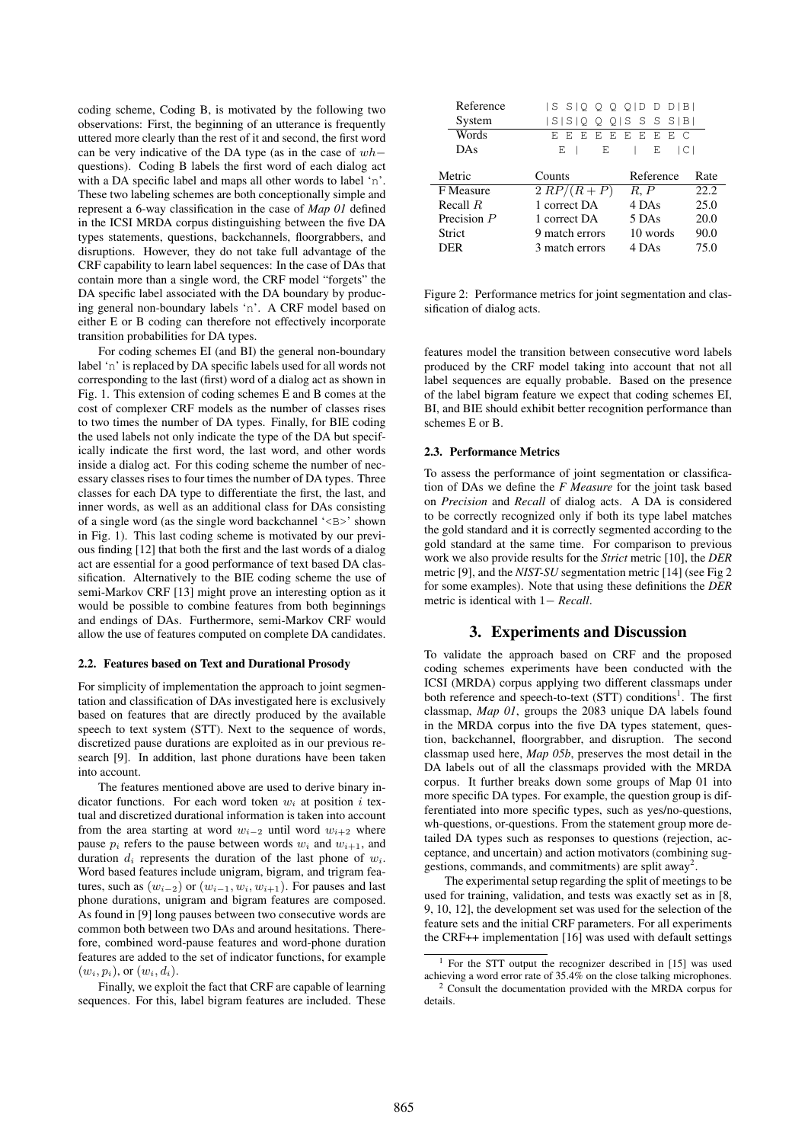coding scheme, Coding B, is motivated by the following two observations: First, the beginning of an utterance is frequently uttered more clearly than the rest of it and second, the first word can be very indicative of the DA type (as in the case of  $wh$ – questions). Coding B labels the first word of each dialog act with a DA specific label and maps all other words to label 'n'. These two labeling schemes are both conceptionally simple and represent a 6-way classification in the case of *Map 01* defined in the ICSI MRDA corpus distinguishing between the five DA types statements, questions, backchannels, floorgrabbers, and disruptions. However, they do not take full advantage of the CRF capability to learn label sequences: In the case of DAs that contain more than a single word, the CRF model "forgets" the DA specific label associated with the DA boundary by producing general non-boundary labels 'n'. A CRF model based on either E or B coding can therefore not effectively incorporate transition probabilities for DA types.

For coding schemes EI (and BI) the general non-boundary label 'n' is replaced by DA specific labels used for all words not corresponding to the last (first) word of a dialog act as shown in Fig. 1. This extension of coding schemes E and B comes at the cost of complexer CRF models as the number of classes rises to two times the number of DA types. Finally, for BIE coding the used labels not only indicate the type of the DA but specifically indicate the first word, the last word, and other words inside a dialog act. For this coding scheme the number of necessary classes rises to four times the number of DA types. Three classes for each DA type to differentiate the first, the last, and inner words, as well as an additional class for DAs consisting of a single word (as the single word backchannel '<B>' shown in Fig. 1). This last coding scheme is motivated by our previous finding [12] that both the first and the last words of a dialog act are essential for a good performance of text based DA classification. Alternatively to the BIE coding scheme the use of semi-Markov CRF [13] might prove an interesting option as it would be possible to combine features from both beginnings and endings of DAs. Furthermore, semi-Markov CRF would allow the use of features computed on complete DA candidates.

#### 2.2. Features based on Text and Durational Prosody

For simplicity of implementation the approach to joint segmentation and classification of DAs investigated here is exclusively based on features that are directly produced by the available speech to text system (STT). Next to the sequence of words, discretized pause durations are exploited as in our previous research [9]. In addition, last phone durations have been taken into account.

The features mentioned above are used to derive binary indicator functions. For each word token  $w_i$  at position i textual and discretized durational information is taken into account from the area starting at word  $w_{i-2}$  until word  $w_{i+2}$  where pause  $p_i$  refers to the pause between words  $w_i$  and  $w_{i+1}$ , and duration  $d_i$  represents the duration of the last phone of  $w_i$ . Word based features include unigram, bigram, and trigram features, such as  $(w_{i-2})$  or  $(w_{i-1}, w_i, w_{i+1})$ . For pauses and last phone durations, unigram and bigram features are composed. As found in [9] long pauses between two consecutive words are common both between two DAs and around hesitations. Therefore, combined word-pause features and word-phone duration features are added to the set of indicator functions, for example  $(w_i, p_i)$ , or  $(w_i, d_i)$ .

Finally, we exploit the fact that CRF are capable of learning sequences. For this, label bigram features are included. These

| Reference     | ISSIQ Q Q Q ID D D IBI |           |      |
|---------------|------------------------|-----------|------|
| System        | S S QQQ SSSS B         |           |      |
| Words         | E E I<br>F.            | EEEEEEC   |      |
| DAs           | E<br>E                 | Ε<br> C   |      |
|               |                        |           |      |
| Metric        | Counts                 | Reference | Rate |
| F Measure     | $2 RP/(R+P)$           | R, P      | 22.2 |
| Recall $R$    | 1 correct DA           | 4 DAs     | 25.0 |
| Precision $P$ | 1 correct DA           | 5 DAs     | 20.0 |
|               |                        |           |      |
| Strict        | 9 match errors         | 10 words  | 90.0 |

Figure 2: Performance metrics for joint segmentation and classification of dialog acts.

features model the transition between consecutive word labels produced by the CRF model taking into account that not all label sequences are equally probable. Based on the presence of the label bigram feature we expect that coding schemes EI, BI, and BIE should exhibit better recognition performance than schemes E or B.

#### 2.3. Performance Metrics

To assess the performance of joint segmentation or classification of DAs we define the *F Measure* for the joint task based on *Precision* and *Recall* of dialog acts. A DA is considered to be correctly recognized only if both its type label matches the gold standard and it is correctly segmented according to the gold standard at the same time. For comparison to previous work we also provide results for the *Strict* metric [10], the *DER* metric [9], and the *NIST-SU* segmentation metric [14] (see Fig 2 for some examples). Note that using these definitions the *DER* metric is identical with 1− *Recall*.

### 3. Experiments and Discussion

To validate the approach based on CRF and the proposed coding schemes experiments have been conducted with the ICSI (MRDA) corpus applying two different classmaps under both reference and speech-to-text (STT) conditions<sup>1</sup>. The first classmap, *Map 01*, groups the 2083 unique DA labels found in the MRDA corpus into the five DA types statement, question, backchannel, floorgrabber, and disruption. The second classmap used here, *Map 05b*, preserves the most detail in the DA labels out of all the classmaps provided with the MRDA corpus. It further breaks down some groups of Map 01 into more specific DA types. For example, the question group is differentiated into more specific types, such as yes/no-questions, wh-questions, or-questions. From the statement group more detailed DA types such as responses to questions (rejection, acceptance, and uncertain) and action motivators (combining suggestions, commands, and commitments) are split away<sup>2</sup>.

The experimental setup regarding the split of meetings to be used for training, validation, and tests was exactly set as in [8, 9, 10, 12], the development set was used for the selection of the feature sets and the initial CRF parameters. For all experiments the CRF++ implementation [16] was used with default settings

<sup>&</sup>lt;sup>1</sup> For the STT output the recognizer described in [15] was used achieving a word error rate of 35.4% on the close talking microphones.

<sup>2</sup> Consult the documentation provided with the MRDA corpus for details.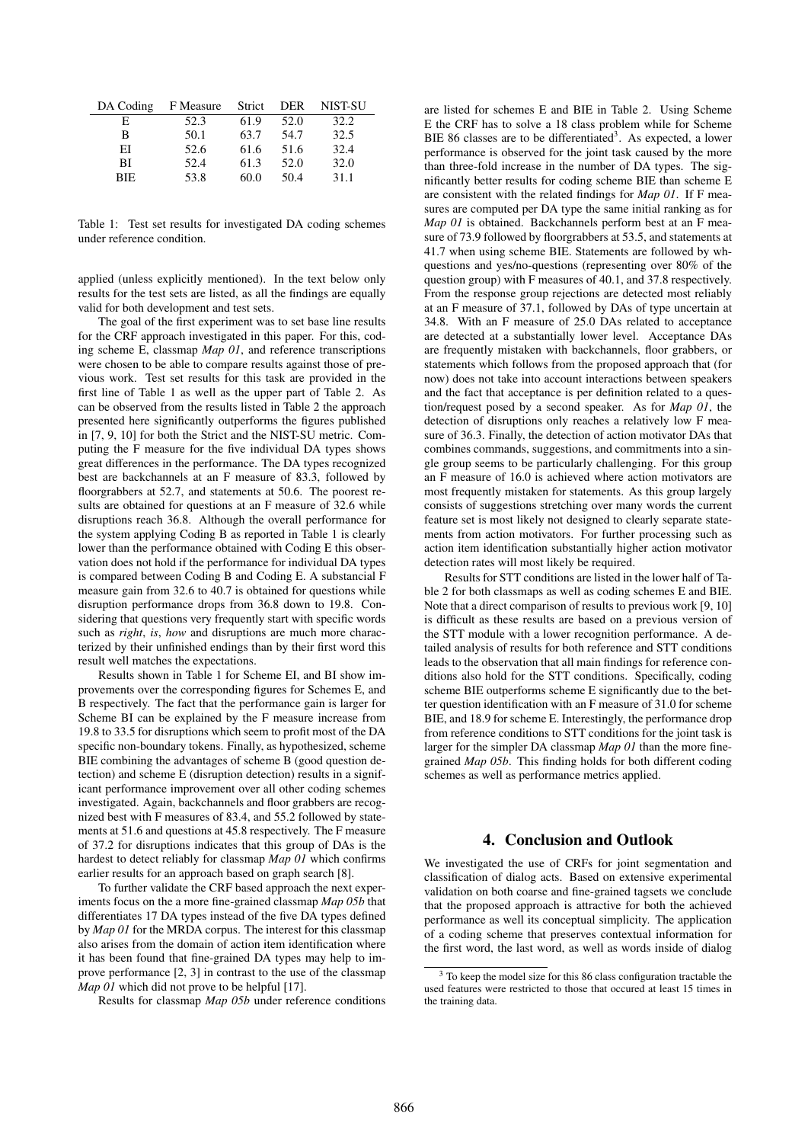| DA Coding | F Measure | Strict | DER  | NIST-SU |
|-----------|-----------|--------|------|---------|
| E.        | 52.3      | 61.9   | 52.0 | 32.2    |
| В         | 50.1      | 63.7   | 54.7 | 32.5    |
| ЕI        | 52.6      | 61.6   | 51.6 | 32.4    |
| ВI        | 52.4      | 61.3   | 52.0 | 32.0    |
| BIE.      | 53.8      | 60.0   | 50.4 | 31.1    |

Table 1: Test set results for investigated DA coding schemes under reference condition.

applied (unless explicitly mentioned). In the text below only results for the test sets are listed, as all the findings are equally valid for both development and test sets.

The goal of the first experiment was to set base line results for the CRF approach investigated in this paper. For this, coding scheme E, classmap *Map 01*, and reference transcriptions were chosen to be able to compare results against those of previous work. Test set results for this task are provided in the first line of Table 1 as well as the upper part of Table 2. As can be observed from the results listed in Table 2 the approach presented here significantly outperforms the figures published in [7, 9, 10] for both the Strict and the NIST-SU metric. Computing the F measure for the five individual DA types shows great differences in the performance. The DA types recognized best are backchannels at an F measure of 83.3, followed by floorgrabbers at 52.7, and statements at 50.6. The poorest results are obtained for questions at an F measure of 32.6 while disruptions reach 36.8. Although the overall performance for the system applying Coding B as reported in Table 1 is clearly lower than the performance obtained with Coding E this observation does not hold if the performance for individual DA types is compared between Coding B and Coding E. A substancial F measure gain from 32.6 to 40.7 is obtained for questions while disruption performance drops from 36.8 down to 19.8. Considering that questions very frequently start with specific words such as *right*, *is*, *how* and disruptions are much more characterized by their unfinished endings than by their first word this result well matches the expectations.

Results shown in Table 1 for Scheme EI, and BI show improvements over the corresponding figures for Schemes E, and B respectively. The fact that the performance gain is larger for Scheme BI can be explained by the F measure increase from 19.8 to 33.5 for disruptions which seem to profit most of the DA specific non-boundary tokens. Finally, as hypothesized, scheme BIE combining the advantages of scheme B (good question detection) and scheme E (disruption detection) results in a significant performance improvement over all other coding schemes investigated. Again, backchannels and floor grabbers are recognized best with F measures of 83.4, and 55.2 followed by statements at 51.6 and questions at 45.8 respectively. The F measure of 37.2 for disruptions indicates that this group of DAs is the hardest to detect reliably for classmap *Map 01* which confirms earlier results for an approach based on graph search [8].

To further validate the CRF based approach the next experiments focus on the a more fine-grained classmap *Map 05b* that differentiates 17 DA types instead of the five DA types defined by *Map 01* for the MRDA corpus. The interest for this classmap also arises from the domain of action item identification where it has been found that fine-grained DA types may help to improve performance [2, 3] in contrast to the use of the classmap *Map 01* which did not prove to be helpful [17].

Results for classmap *Map 05b* under reference conditions

are listed for schemes E and BIE in Table 2. Using Scheme E the CRF has to solve a 18 class problem while for Scheme BIE 86 classes are to be differentiated<sup>3</sup>. As expected, a lower performance is observed for the joint task caused by the more than three-fold increase in the number of DA types. The significantly better results for coding scheme BIE than scheme E are consistent with the related findings for *Map 01*. If F measures are computed per DA type the same initial ranking as for *Map 01* is obtained. Backchannels perform best at an F measure of 73.9 followed by floorgrabbers at 53.5, and statements at 41.7 when using scheme BIE. Statements are followed by whquestions and yes/no-questions (representing over 80% of the question group) with F measures of 40.1, and 37.8 respectively. From the response group rejections are detected most reliably at an F measure of 37.1, followed by DAs of type uncertain at 34.8. With an F measure of 25.0 DAs related to acceptance are detected at a substantially lower level. Acceptance DAs are frequently mistaken with backchannels, floor grabbers, or statements which follows from the proposed approach that (for now) does not take into account interactions between speakers and the fact that acceptance is per definition related to a question/request posed by a second speaker. As for *Map 01*, the detection of disruptions only reaches a relatively low F measure of 36.3. Finally, the detection of action motivator DAs that combines commands, suggestions, and commitments into a single group seems to be particularly challenging. For this group an F measure of 16.0 is achieved where action motivators are most frequently mistaken for statements. As this group largely consists of suggestions stretching over many words the current feature set is most likely not designed to clearly separate statements from action motivators. For further processing such as action item identification substantially higher action motivator detection rates will most likely be required.

Results for STT conditions are listed in the lower half of Table 2 for both classmaps as well as coding schemes E and BIE. Note that a direct comparison of results to previous work [9, 10] is difficult as these results are based on a previous version of the STT module with a lower recognition performance. A detailed analysis of results for both reference and STT conditions leads to the observation that all main findings for reference conditions also hold for the STT conditions. Specifically, coding scheme BIE outperforms scheme E significantly due to the better question identification with an F measure of 31.0 for scheme BIE, and 18.9 for scheme E. Interestingly, the performance drop from reference conditions to STT conditions for the joint task is larger for the simpler DA classmap *Map 01* than the more finegrained *Map 05b*. This finding holds for both different coding schemes as well as performance metrics applied.

### 4. Conclusion and Outlook

We investigated the use of CRFs for joint segmentation and classification of dialog acts. Based on extensive experimental validation on both coarse and fine-grained tagsets we conclude that the proposed approach is attractive for both the achieved performance as well its conceptual simplicity. The application of a coding scheme that preserves contextual information for the first word, the last word, as well as words inside of dialog

 $3$  To keep the model size for this 86 class configuration tractable the used features were restricted to those that occured at least 15 times in the training data.